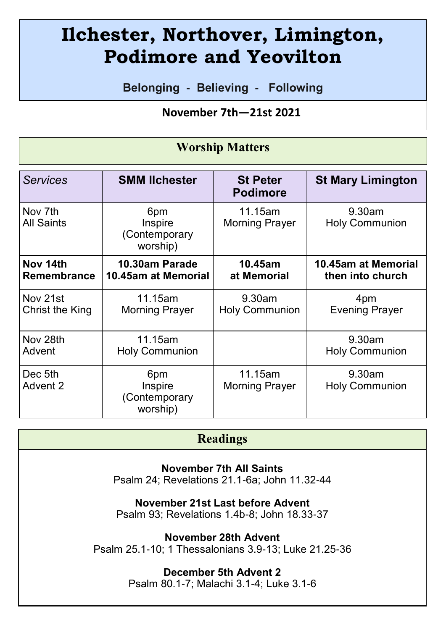# **Ilchester, Northover, Limington, Podimore and Yeovilton**

**Belonging - Believing - Following**

## **November 7th—21st 2021**

## **Worship Matters**

| <b>Services</b>       | <b>SMM lichester</b>                        | <b>St Peter</b><br><b>Podimore</b> | <b>St Mary Limington</b>           |
|-----------------------|---------------------------------------------|------------------------------------|------------------------------------|
| Nov 7th<br>All Saints | 6pm<br>Inspire<br>(Contemporary<br>worship) | 11.15am<br><b>Morning Prayer</b>   | $9.30$ am<br><b>Holy Communion</b> |
| Nov 14th              | 10.30am Parade                              | 10.45am                            | 10.45am at Memorial                |
| Remembrance           | 10.45am at Memorial                         | at Memorial                        | then into church                   |
| Nov 21st              | 11.15am                                     | $9.30$ am                          | 4pm                                |
| Christ the King       | <b>Morning Prayer</b>                       | <b>Holy Communion</b>              | <b>Evening Prayer</b>              |
| Nov 28th              | 11.15am                                     |                                    | $9.30$ am                          |
| Advent                | <b>Holy Communion</b>                       |                                    | <b>Holy Communion</b>              |
| Dec 5th<br>Advent 2   | 6pm<br>Inspire<br>(Contemporary<br>worship) | 11.15am<br>Morning Prayer          | $9.30$ am<br>Holy Communion        |

## **Readings**

**November 7th All Saints**

Psalm 24; Revelations 21.1-6a; John 11.32-44

**November 21st Last before Advent**

Psalm 93; Revelations 1.4b-8; John 18.33-37

**November 28th Advent**

Psalm 25.1-10; 1 Thessalonians 3.9-13; Luke 21.25-36

#### **December 5th Advent 2**

Psalm 80.1-7; Malachi 3.1-4; Luke 3.1-6